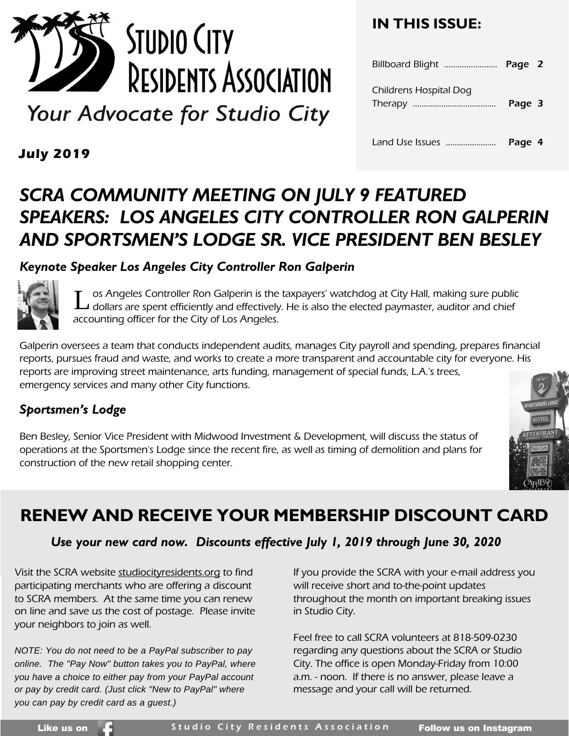

Your Advocate for Studio City

### **IN THIS ISSUE:**

| Childrens Hospital Dog | Page 3 |  |
|------------------------|--------|--|
| Land Use Issues        | Page 4 |  |

**July 2019**

### *SCRA COMMUNITY MEETING ON JULY 9 FEATURED SPEAKERS: LOS ANGELES CITY CONTROLLER RON GALPERIN AND SPORTSMEN'S LODGE SR. VICE PRESIDENT BEN BESLEY*

### *Keynote Speaker Los Angeles City Controller Ron Galperin*



os Angeles Controller Ron Galperin is the taxpayers' watchdog at City Hall, making sure public Latin as Angeles Controller Ron Galperin is the taxpayers' watchdog at City Hall, making sure publimed and chief<br>Latin are spent efficiently and effectively. He is also the elected paymaster, auditor and chief accounting officer for the City of Los Angeles.

Galperin oversees a team that conducts independent audits, manages City payroll and spending, prepares financial reports, pursues fraud and waste, and works to create a more transparent and accountable city for everyone. His reports are improving street maintenance, arts funding, management of special funds, L.A.'s trees, emergency services and many other City functions.

### *Sportsmen's Lodge*

Ben Besley, Senior Vice President with Midwood Investment & Development, will discuss the status of operations at the Sportsmen's Lodge since the recent fire, as well as timing of demolition and plans for construction of the new retail shopping center.



### **RENEW AND RECEIVE YOUR MEMBERSHIP DISCOUNT CARD**

### *Use your new card now. Discounts effective July 1, 2019 through June 30, 2020*

Visit the SCRA website studiocityresidents.org to find participating merchants who are offering a discount to SCRA members. At the same time you can renew on line and save us the cost of postage. Please invite your neighbors to join as well.

*NOTE: You do not need to be a PayPal subscriber to pay online. The "Pay Now" button takes you to PayPal, where you have a choice to either pay from your PayPal account or pay by credit card. (Just click "New to PayPal" where you can pay by credit card as a guest.)*

If you provide the SCRA with your e-mail address you will receive short and to-the-point updates throughout the month on important breaking issues in Studio City.

Feel free to call SCRA volunteers at 818-509-0230 regarding any questions about the SCRA or Studio City. The office is open Monday-Friday from 10:00 a.m. - noon. If there is no answer, please leave a message and your call will be returned.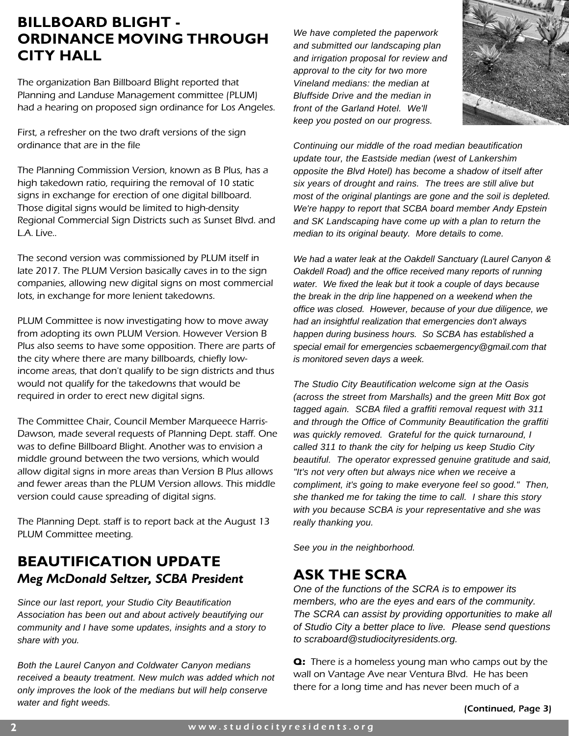### **BILLBOARD BLIGHT - ORDINANCE MOVING THROUGH CITY HALL**

The organization Ban Billboard Blight reported that Planning and Landuse Management committee (PLUM) had a hearing on proposed sign ordinance for Los Angeles.

First, a refresher on the two draft versions of the sign ordinance that are in the file

The Planning Commission Version, known as B Plus, has a high takedown ratio, requiring the removal of 10 static signs in exchange for erection of one digital billboard. Those digital signs would be limited to high-density Regional Commercial Sign Districts such as Sunset Blvd. and L.A. Live..

The second version was commissioned by PLUM itself in late 2017. The PLUM Version basically caves in to the sign companies, allowing new digital signs on most commercial lots, in exchange for more lenient takedowns.

PLUM Committee is now investigating how to move away from adopting its own PLUM Version. However Version B Plus also seems to have some opposition. There are parts of the city where there are many billboards, chiefly lowincome areas, that don't qualify to be sign districts and thus would not qualify for the takedowns that would be required in order to erect new digital signs.

The Committee Chair, Council Member Marqueece Harris-Dawson, made several requests of Planning Dept. staff. One was to define Billboard Blight. Another was to envision a middle ground between the two versions, which would allow digital signs in more areas than Version B Plus allows and fewer areas than the PLUM Version allows. This middle version could cause spreading of digital signs.

The Planning Dept. staff is to report back at the August 13 PLUM Committee meeting.

### **BEAUTIFICATION UPDATE**  *Meg McDonald Seltzer, SCBA President*

*Since our last report, your Studio City Beautification Association has been out and about actively beautifying our community and I have some updates, insights and a story to share with you.*

*Both the Laurel Canyon and Coldwater Canyon medians received a beauty treatment. New mulch was added which not only improves the look of the medians but will help conserve water and fight weeds.* 

*We have completed the paperwork and submitted our landscaping plan and irrigation proposal for review and approval to the city for two more Vineland medians: the median at Bluffside Drive and the median in front of the Garland Hotel. We'll keep you posted on our progress.*



*Continuing our middle of the road median beautification update tour, the Eastside median (west of Lankershim opposite the Blvd Hotel) has become a shadow of itself after six years of drought and rains. The trees are still alive but most of the original plantings are gone and the soil is depleted. We're happy to report that SCBA board member Andy Epstein and SK Landscaping have come up with a plan to return the median to its original beauty. More details to come.*

*We had a water leak at the Oakdell Sanctuary (Laurel Canyon & Oakdell Road) and the office received many reports of running water. We fixed the leak but it took a couple of days because the break in the drip line happened on a weekend when the office was closed. However, because of your due diligence, we had an insightful realization that emergencies don't always happen during business hours. So SCBA has established a special email for emergencies scbaemergency@gmail.com that is monitored seven days a week.*

*The Studio City Beautification welcome sign at the Oasis (across the street from Marshalls) and the green Mitt Box got tagged again. SCBA filed a graffiti removal request with 311 and through the Office of Community Beautification the graffiti was quickly removed. Grateful for the quick turnaround, I called 311 to thank the city for helping us keep Studio City beautiful. The operator expressed genuine gratitude and said, "It's not very often but always nice when we receive a compliment, it's going to make everyone feel so good." Then, she thanked me for taking the time to call. I share this story with you because SCBA is your representative and she was really thanking you.*

*See you in the neighborhood.*

### **ASK THE SCRA**

*One of the functions of the SCRA is to empower its members, who are the eyes and ears of the community. The SCRA can assist by providing opportunities to make all of Studio City a better place to live. Please send questions to scraboard@studiocityresidents.org.*

**Q:** There is a homeless young man who camps out by the wall on Vantage Ave near Ventura Blvd. He has been there for a long time and has never been much of a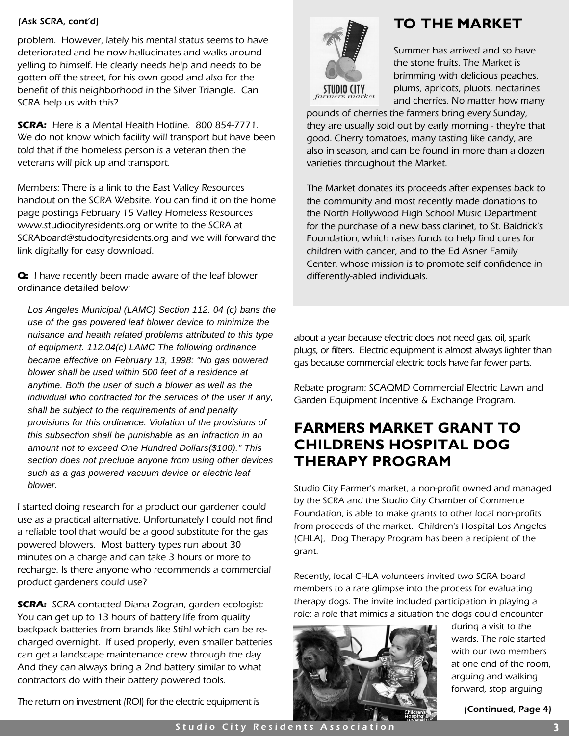problem. However, lately his mental status seems to have deteriorated and he now hallucinates and walks around yelling to himself. He clearly needs help and needs to be gotten off the street, for his own good and also for the benefit of this neighborhood in the Silver Triangle. Can SCRA help us with this?

**SCRA:** Here is a Mental Health Hotline. 800 854-7771. We do not know which facility will transport but have been told that if the homeless person is a veteran then the veterans will pick up and transport.

Members: There is a link to the East Valley Resources handout on the SCRA Website. You can find it on the home page postings February 15 Valley Homeless Resources www.studiocityresidents.org or write to the SCRA at SCRAboard@studocityresidents.org and we will forward the link digitally for easy download.

**Q:** I have recently been made aware of the leaf blower ordinance detailed below:

*Los Angeles Municipal (LAMC) Section 112. 04 (c) bans the use of the gas powered leaf blower device to minimize the nuisance and health related problems attributed to this type of equipment. 112.04(c) LAMC The following ordinance became effective on February 13, 1998: "No gas powered blower shall be used within 500 feet of a residence at anytime. Both the user of such a blower as well as the individual who contracted for the services of the user if any, shall be subject to the requirements of and penalty provisions for this ordinance. Violation of the provisions of this subsection shall be punishable as an infraction in an amount not to exceed One Hundred Dollars(\$100)." This section does not preclude anyone from using other devices such as a gas powered vacuum device or electric leaf blower.*

I started doing research for a product our gardener could use as a practical alternative. Unfortunately I could not find a reliable tool that would be a good substitute for the gas powered blowers. Most battery types run about 30 minutes on a charge and can take 3 hours or more to recharge. Is there anyone who recommends a commercial product gardeners could use?

**SCRA:** SCRA contacted Diana Zogran, garden ecologist: You can get up to 13 hours of battery life from quality backpack batteries from brands like Stihl which can be recharged overnight. If used properly, even smaller batteries can get a landscape maintenance crew through the day. And they can always bring a 2nd battery similar to what contractors do with their battery powered tools.

The return on investment (ROI) for the electric equipment is

### (Ask SCRA, cont'd) **TO THE MARKET**



Summer has arrived and so have the stone fruits. The Market is brimming with delicious peaches, plums, apricots, pluots, nectarines and cherries. No matter how many

pounds of cherries the farmers bring every Sunday, they are usually sold out by early morning - they're that good. Cherry tomatoes, many tasting like candy, are also in season, and can be found in more than a dozen varieties throughout the Market.

The Market donates its proceeds after expenses back to the community and most recently made donations to the North Hollywood High School Music Department for the purchase of a new bass clarinet, to St. Baldrick's Foundation, which raises funds to help find cures for children with cancer, and to the Ed Asner Family Center, whose mission is to promote self confidence in differently-abled individuals.

about a year because electric does not need gas, oil, spark plugs, or filters. Electric equipment is almost always lighter than gas because commercial electric tools have far fewer parts.

Rebate program: SCAQMD Commercial Electric Lawn and Garden Equipment Incentive & Exchange Program.

### **FARMERS MARKET GRANT TO CHILDRENS HOSPITAL DOG THERAPY PROGRAM**

Studio City Farmer's market, a non-profit owned and managed by the SCRA and the Studio City Chamber of Commerce Foundation, is able to make grants to other local non-profits from proceeds of the market. Children's Hospital Los Angeles (CHLA), Dog Therapy Program has been a recipient of the grant.

Recently, local CHLA volunteers invited two SCRA board members to a rare glimpse into the process for evaluating therapy dogs. The invite included participation in playing a role; a role that mimics a situation the dogs could encounter



during a visit to the wards. The role started with our two members at one end of the room, arguing and walking forward, stop arguing

(Continued, Page 4)

Studio City Residents Association **3**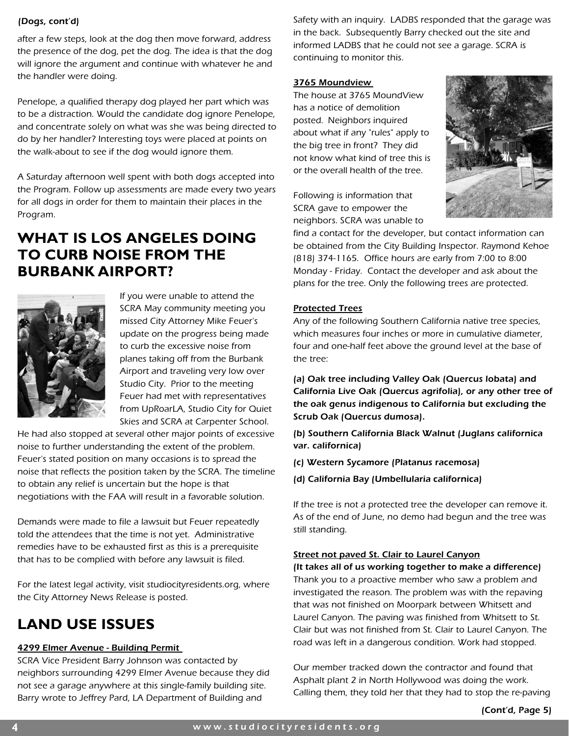### (Dogs, cont'd)

after a few steps, look at the dog then move forward, address the presence of the dog, pet the dog. The idea is that the dog will ignore the argument and continue with whatever he and the handler were doing.

Penelope, a qualified therapy dog played her part which was to be a distraction. Would the candidate dog ignore Penelope, and concentrate solely on what was she was being directed to do by her handler? Interesting toys were placed at points on the walk-about to see if the dog would ignore them.

A Saturday afternoon well spent with both dogs accepted into the Program. Follow up assessments are made every two years for all dogs in order for them to maintain their places in the Program.

### **WHAT IS LOS ANGELES DOING TO CURB NOISE FROM THE BURBANK AIRPORT?**



If you were unable to attend the SCRA May community meeting you missed City Attorney Mike Feuer's update on the progress being made to curb the excessive noise from planes taking off from the Burbank Airport and traveling very low over Studio City. Prior to the meeting Feuer had met with representatives from UpRoarLA, Studio City for Quiet Skies and SCRA at Carpenter School.

He had also stopped at several other major points of excessive noise to further understanding the extent of the problem. Feuer's stated position on many occasions is to spread the noise that reflects the position taken by the SCRA. The timeline to obtain any relief is uncertain but the hope is that negotiations with the FAA will result in a favorable solution.

Demands were made to file a lawsuit but Feuer repeatedly told the attendees that the time is not yet. Administrative remedies have to be exhausted first as this is a prerequisite that has to be complied with before any lawsuit is filed.

For the latest legal activity, visit studiocityresidents.org, where the City Attorney News Release is posted.

### **LAND USE ISSUES**

### 4299 Elmer Avenue - Building Permit

SCRA Vice President Barry Johnson was contacted by neighbors surrounding 4299 Elmer Avenue because they did not see a garage anywhere at this single-family building site. Barry wrote to Jeffrey Pard, LA Department of Building and

Safety with an inquiry. LADBS responded that the garage was in the back. Subsequently Barry checked out the site and informed LADBS that he could not see a garage. SCRA is continuing to monitor this.

### 3765 Moundview

The house at 3765 MoundView has a notice of demolition posted. Neighbors inquired about what if any "rules" apply to the big tree in front? They did not know what kind of tree this is or the overall health of the tree.

Following is information that SCRA gave to empower the neighbors. SCRA was unable to



find a contact for the developer, but contact information can be obtained from the City Building Inspector. Raymond Kehoe (818) 374-1165. Office hours are early from 7:00 to 8:00 Monday - Friday. Contact the developer and ask about the plans for the tree. Only the following trees are protected.

### Protected Trees

Any of the following Southern California native tree species, which measures four inches or more in cumulative diameter, four and one-half feet above the ground level at the base of the tree:

(a) Oak tree including Valley Oak (Quercus lobata) and California Live Oak (Quercus agrifolia), or any other tree of the oak genus indigenous to California but excluding the Scrub Oak (Quercus dumosa).

(b) Southern California Black Walnut (Juglans californica var. californica)

- (c) Western Sycamore (Platanus racemosa)
- (d) California Bay (Umbellularia californica)

If the tree is not a protected tree the developer can remove it. As of the end of June, no demo had begun and the tree was still standing.

### Street not paved St. Clair to Laurel Canyon

(It takes all of us working together to make a difference) Thank you to a proactive member who saw a problem and investigated the reason. The problem was with the repaving that was not finished on Moorpark between Whitsett and Laurel Canyon. The paving was finished from Whitsett to St. Clair but was not finished from St. Clair to Laurel Canyon. The road was left in a dangerous condition. Work had stopped.

Our member tracked down the contractor and found that Asphalt plant 2 in North Hollywood was doing the work. Calling them, they told her that they had to stop the re-paving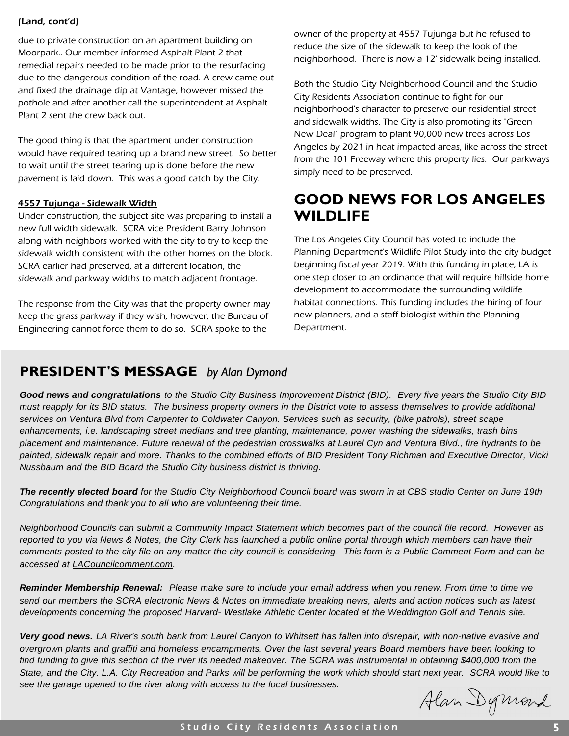### (Land, cont'd)

due to private construction on an apartment building on Moorpark.. Our member informed Asphalt Plant 2 that remedial repairs needed to be made prior to the resurfacing due to the dangerous condition of the road. A crew came out and fixed the drainage dip at Vantage, however missed the pothole and after another call the superintendent at Asphalt Plant 2 sent the crew back out.

The good thing is that the apartment under construction would have required tearing up a brand new street. So better to wait until the street tearing up is done before the new pavement is laid down. This was a good catch by the City.

### 4557 Tujunga - Sidewalk Width

Under construction, the subject site was preparing to install a new full width sidewalk. SCRA vice President Barry Johnson along with neighbors worked with the city to try to keep the sidewalk width consistent with the other homes on the block. SCRA earlier had preserved, at a different location, the sidewalk and parkway widths to match adjacent frontage.

The response from the City was that the property owner may keep the grass parkway if they wish, however, the Bureau of Engineering cannot force them to do so. SCRA spoke to the

owner of the property at 4557 Tujunga but he refused to reduce the size of the sidewalk to keep the look of the neighborhood. There is now a 12' sidewalk being installed.

Both the Studio City Neighborhood Council and the Studio City Residents Association continue to fight for our neighborhood's character to preserve our residential street and sidewalk widths. The City is also promoting its "Green New Deal" program to plant 90,000 new trees across Los Angeles by 2021 in heat impacted areas, like across the street from the 101 Freeway where this property lies. Our parkways simply need to be preserved.

### **GOOD NEWS FOR LOS ANGELES WILDLIFE**

The Los Angeles City Council has voted to include the Planning Department's Wildlife Pilot Study into the city budget beginning fiscal year 2019. With this funding in place, LA is one step closer to an ordinance that will require hillside home development to accommodate the surrounding wildlife habitat connections. This funding includes the hiring of four new planners, and a staff biologist within the Planning Department.

### **PRESIDENT'S MESSAGE** *by Alan Dymond*

*Good news and congratulations to the Studio City Business Improvement District (BID). Every five years the Studio City BID must reapply for its BID status. The business property owners in the District vote to assess themselves to provide additional services on Ventura Blvd from Carpenter to Coldwater Canyon. Services such as security, (bike patrols), street scape enhancements, i.e. landscaping street medians and tree planting, maintenance, power washing the sidewalks, trash bins placement and maintenance. Future renewal of the pedestrian crosswalks at Laurel Cyn and Ventura Blvd., fire hydrants to be painted, sidewalk repair and more. Thanks to the combined efforts of BID President Tony Richman and Executive Director, Vicki Nussbaum and the BID Board the Studio City business district is thriving.*

*The recently elected board for the Studio City Neighborhood Council board was sworn in at CBS studio Center on June 19th. Congratulations and thank you to all who are volunteering their time.* 

*Neighborhood Councils can submit a Community Impact Statement which becomes part of the council file record. However as reported to you via News & Notes, the City Clerk has launched a public online portal through which members can have their comments posted to the city file on any matter the city council is considering. This form is a Public Comment Form and can be accessed at LACouncilcomment.com.*

*Reminder Membership Renewal: Please make sure to include your email address when you renew. From time to time we send our members the SCRA electronic News & Notes on immediate breaking news, alerts and action notices such as latest developments concerning the proposed Harvard- Westlake Athletic Center located at the Weddington Golf and Tennis site.* 

*Very good news. LA River's south bank from Laurel Canyon to Whitsett has fallen into disrepair, with non-native evasive and overgrown plants and graffiti and homeless encampments. Over the last several years Board members have been looking to find funding to give this section of the river its needed makeover. The SCRA was instrumental in obtaining \$400,000 from the State, and the City. L.A. City Recreation and Parks will be performing the work which should start next year. SCRA would like to see the garage opened to the river along with access to the local businesses.*

Alan Dymond